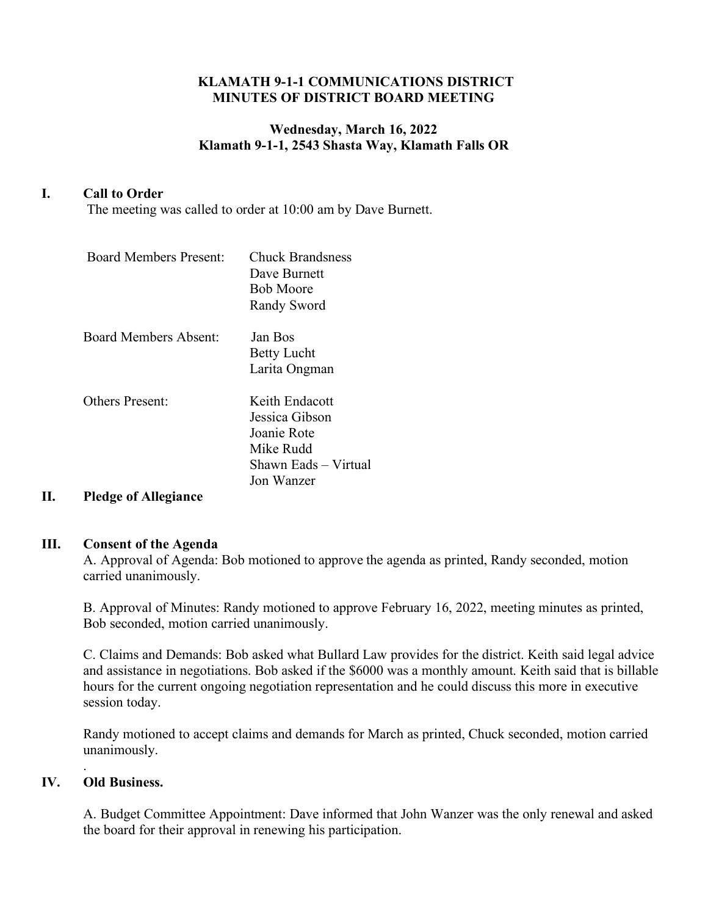#### **KLAMATH 9-1-1 COMMUNICATIONS DISTRICT MINUTES OF DISTRICT BOARD MEETING**

### **Wednesday, March 16, 2022 Klamath 9-1-1, 2543 Shasta Way, Klamath Falls OR**

### **I. Call to Order**

The meeting was called to order at 10:00 am by Dave Burnett.

| <b>Board Members Present:</b> | <b>Chuck Brandsness</b><br>Dave Burnett<br><b>Bob Moore</b><br>Randy Sword                         |
|-------------------------------|----------------------------------------------------------------------------------------------------|
| <b>Board Members Absent:</b>  | Jan Bos<br><b>Betty Lucht</b><br>Larita Ongman                                                     |
| Others Present:               | Keith Endacott<br>Jessica Gibson<br>Joanie Rote<br>Mike Rudd<br>Shawn Eads - Virtual<br>Jon Wanzer |

# **II. Pledge of Allegiance**

#### **III. Consent of the Agenda**

A. Approval of Agenda: Bob motioned to approve the agenda as printed, Randy seconded, motion carried unanimously.

B. Approval of Minutes: Randy motioned to approve February 16, 2022, meeting minutes as printed, Bob seconded, motion carried unanimously.

C. Claims and Demands: Bob asked what Bullard Law provides for the district. Keith said legal advice and assistance in negotiations. Bob asked if the \$6000 was a monthly amount. Keith said that is billable hours for the current ongoing negotiation representation and he could discuss this more in executive session today.

Randy motioned to accept claims and demands for March as printed, Chuck seconded, motion carried unanimously.

### **IV. Old Business.**

.

A. Budget Committee Appointment: Dave informed that John Wanzer was the only renewal and asked the board for their approval in renewing his participation.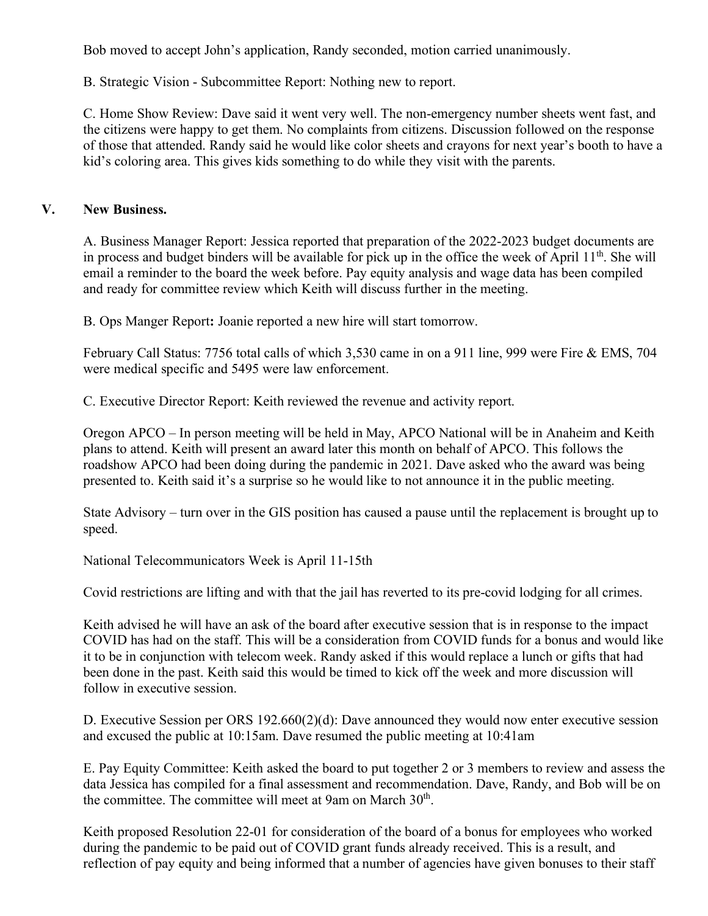Bob moved to accept John's application, Randy seconded, motion carried unanimously.

B. Strategic Vision - Subcommittee Report: Nothing new to report.

C. Home Show Review: Dave said it went very well. The non-emergency number sheets went fast, and the citizens were happy to get them. No complaints from citizens. Discussion followed on the response of those that attended. Randy said he would like color sheets and crayons for next year's booth to have a kid's coloring area. This gives kids something to do while they visit with the parents.

## **V. New Business.**

A. Business Manager Report: Jessica reported that preparation of the 2022-2023 budget documents are in process and budget binders will be available for pick up in the office the week of April  $11<sup>th</sup>$ . She will email a reminder to the board the week before. Pay equity analysis and wage data has been compiled and ready for committee review which Keith will discuss further in the meeting.

B. Ops Manger Report**:** Joanie reported a new hire will start tomorrow.

February Call Status: 7756 total calls of which 3,530 came in on a 911 line, 999 were Fire & EMS, 704 were medical specific and 5495 were law enforcement.

C. Executive Director Report: Keith reviewed the revenue and activity report.

Oregon APCO – In person meeting will be held in May, APCO National will be in Anaheim and Keith plans to attend. Keith will present an award later this month on behalf of APCO. This follows the roadshow APCO had been doing during the pandemic in 2021. Dave asked who the award was being presented to. Keith said it's a surprise so he would like to not announce it in the public meeting.

State Advisory – turn over in the GIS position has caused a pause until the replacement is brought up to speed.

National Telecommunicators Week is April 11-15th

Covid restrictions are lifting and with that the jail has reverted to its pre-covid lodging for all crimes.

Keith advised he will have an ask of the board after executive session that is in response to the impact COVID has had on the staff. This will be a consideration from COVID funds for a bonus and would like it to be in conjunction with telecom week. Randy asked if this would replace a lunch or gifts that had been done in the past. Keith said this would be timed to kick off the week and more discussion will follow in executive session.

D. Executive Session per ORS 192.660(2)(d): Dave announced they would now enter executive session and excused the public at 10:15am. Dave resumed the public meeting at 10:41am

E. Pay Equity Committee: Keith asked the board to put together 2 or 3 members to review and assess the data Jessica has compiled for a final assessment and recommendation. Dave, Randy, and Bob will be on the committee. The committee will meet at 9am on March  $30<sup>th</sup>$ .

Keith proposed Resolution 22-01 for consideration of the board of a bonus for employees who worked during the pandemic to be paid out of COVID grant funds already received. This is a result, and reflection of pay equity and being informed that a number of agencies have given bonuses to their staff